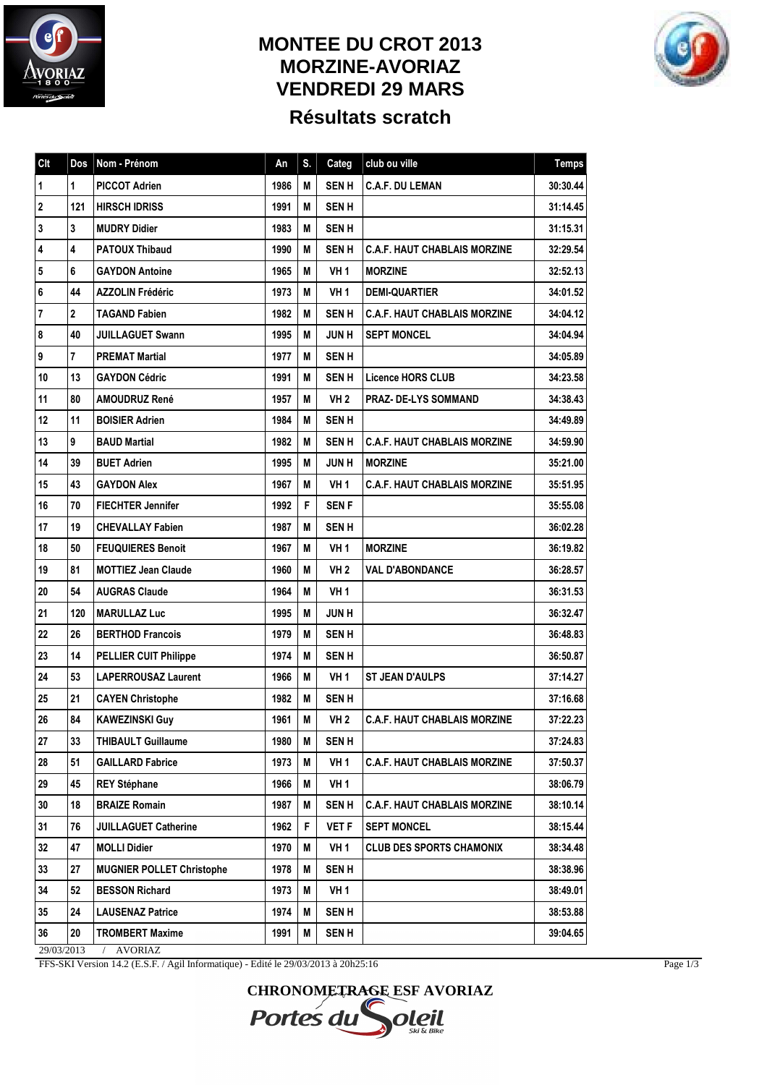

## **MONTEE DU CROT 2013 MORZINE-AVORIAZ VENDREDI 29 MARS Résultats scratch**



| <b>CIt</b>              | Dos                          | Nom - Prénom                     | An   | S. | Categ           | club ou ville                       | <b>Temps</b> |  |  |
|-------------------------|------------------------------|----------------------------------|------|----|-----------------|-------------------------------------|--------------|--|--|
| $\mathbf 1$             | 1                            | <b>PICCOT Adrien</b>             | 1986 | М  | <b>SENH</b>     | <b>C.A.F. DU LEMAN</b>              | 30:30.44     |  |  |
| $\boldsymbol{2}$        | 121                          | <b>HIRSCH IDRISS</b>             | 1991 | М  | <b>SENH</b>     |                                     | 31:14.45     |  |  |
| $\overline{\mathbf{3}}$ | 3                            | <b>MUDRY Didier</b>              | 1983 | М  | <b>SENH</b>     |                                     | 31:15.31     |  |  |
| $\overline{\mathbf{4}}$ | 4                            | <b>PATOUX Thibaud</b>            | 1990 | М  | <b>SENH</b>     | <b>C.A.F. HAUT CHABLAIS MORZINE</b> | 32:29.54     |  |  |
| 5                       | 6                            | <b>GAYDON Antoine</b>            | 1965 | М  | <b>VH1</b>      | <b>MORZINE</b>                      | 32:52.13     |  |  |
| $\bf 6$                 | 44                           | <b>AZZOLIN Frédéric</b>          | 1973 | М  | <b>VH1</b>      | <b>DEMI-QUARTIER</b>                | 34:01.52     |  |  |
| $\bf 7$                 | $\mathbf 2$                  | <b>TAGAND Fabien</b>             | 1982 | М  | <b>SENH</b>     | <b>C.A.F. HAUT CHABLAIS MORZINE</b> | 34:04.12     |  |  |
| $\pmb{8}$               | 40                           | <b>JUILLAGUET Swann</b>          | 1995 | М  | <b>JUNH</b>     | <b>SEPT MONCEL</b>                  | 34:04.94     |  |  |
| $\boldsymbol{9}$        | 7                            | <b>PREMAT Martial</b>            | 1977 | М  | <b>SENH</b>     |                                     | 34:05.89     |  |  |
| 10                      | 13                           | <b>GAYDON Cédric</b>             | 1991 | М  | <b>SENH</b>     | <b>Licence HORS CLUB</b>            | 34:23.58     |  |  |
| 11                      | 80                           | <b>AMOUDRUZ René</b>             | 1957 | М  | VH <sub>2</sub> | <b>PRAZ- DE-LYS SOMMAND</b>         | 34:38.43     |  |  |
| 12                      | 11                           | <b>BOISIER Adrien</b>            | 1984 | М  | <b>SENH</b>     |                                     | 34:49.89     |  |  |
| 13                      | 9                            | <b>BAUD Martial</b>              | 1982 | М  | <b>SENH</b>     | <b>C.A.F. HAUT CHABLAIS MORZINE</b> | 34:59.90     |  |  |
| 14                      | 39                           | <b>BUET Adrien</b>               | 1995 | М  | <b>JUNH</b>     | <b>MORZINE</b>                      | 35:21.00     |  |  |
| 15                      | 43                           | <b>GAYDON Alex</b>               | 1967 | М  | VH <sub>1</sub> | <b>C.A.F. HAUT CHABLAIS MORZINE</b> | 35:51.95     |  |  |
| 16                      | 70                           | <b>FIECHTER Jennifer</b>         | 1992 | F  | <b>SENF</b>     |                                     | 35:55.08     |  |  |
| 17                      | 19                           | <b>CHEVALLAY Fabien</b>          | 1987 | М  | <b>SENH</b>     |                                     | 36:02.28     |  |  |
| 18                      | 50                           | <b>FEUQUIERES Benoit</b>         | 1967 | М  | VH <sub>1</sub> | <b>MORZINE</b>                      | 36:19.82     |  |  |
| 19                      | 81                           | <b>MOTTIEZ Jean Claude</b>       | 1960 | М  | VH <sub>2</sub> | <b>VAL D'ABONDANCE</b>              | 36:28.57     |  |  |
| 20                      | 54                           | <b>AUGRAS Claude</b>             | 1964 | М  | <b>VH1</b>      |                                     | 36:31.53     |  |  |
| 21                      | 120                          | <b>MARULLAZ Luc</b>              | 1995 | M  | <b>JUNH</b>     |                                     | 36:32.47     |  |  |
| 22                      | 26                           | <b>BERTHOD Francois</b>          | 1979 | М  | <b>SENH</b>     |                                     | 36:48.83     |  |  |
| 23                      | 14                           | <b>PELLIER CUIT Philippe</b>     | 1974 | М  | <b>SENH</b>     |                                     | 36:50.87     |  |  |
| 24                      | 53                           | <b>LAPERROUSAZ Laurent</b>       | 1966 | М  | VH <sub>1</sub> | <b>ST JEAN D'AULPS</b>              | 37:14.27     |  |  |
| 25                      | 21                           | <b>CAYEN Christophe</b>          | 1982 | M  | <b>SENH</b>     |                                     | 37:16.68     |  |  |
| 26                      | 84                           | <b>KAWEZINSKI Guy</b>            | 1961 | М  | <b>VH 2</b>     | <b>C.A.F. HAUT CHABLAIS MORZINE</b> | 37:22.23     |  |  |
| 27                      | 33                           | <b>THIBAULT Guillaume</b>        | 1980 | M  | <b>SENH</b>     |                                     | 37:24.83     |  |  |
| 28                      | 51                           | <b>GAILLARD Fabrice</b>          | 1973 | M  | VH <sub>1</sub> | <b>C.A.F. HAUT CHABLAIS MORZINE</b> | 37:50.37     |  |  |
| 29                      | 45                           | <b>REY Stéphane</b>              | 1966 | M  | VH 1            |                                     | 38:06.79     |  |  |
| 30                      | 18                           | <b>BRAIZE Romain</b>             | 1987 | M  | <b>SENH</b>     | <b>C.A.F. HAUT CHABLAIS MORZINE</b> | 38:10.14     |  |  |
| 31                      | 76                           | <b>JUILLAGUET Catherine</b>      | 1962 | F. | <b>VET F</b>    | <b>SEPT MONCEL</b>                  | 38:15.44     |  |  |
| 32                      | 47                           | <b>MOLLI Didier</b>              | 1970 | M  | VH <sub>1</sub> | <b>CLUB DES SPORTS CHAMONIX</b>     | 38:34.48     |  |  |
| 33                      | 27                           | <b>MUGNIER POLLET Christophe</b> | 1978 | M  | <b>SENH</b>     |                                     | 38:38.96     |  |  |
| 34                      | 52                           | <b>BESSON Richard</b>            | 1973 | M  | <b>VH1</b>      |                                     | 38:49.01     |  |  |
| 35                      | 24                           | <b>LAUSENAZ Patrice</b>          | 1974 | M  | <b>SEN H</b>    |                                     | 38:53.88     |  |  |
| 36                      | 20                           | <b>TROMBERT Maxime</b>           | 1991 | M  | <b>SENH</b>     |                                     | 39:04.65     |  |  |
|                         | 29/03/2013<br><b>AVORIAZ</b> |                                  |      |    |                 |                                     |              |  |  |

FFS-SKI Version 14.2 (E.S.F. / Agil Informatique) - Edité le 29/03/2013 à 20h25:16

**CHRONOMETRAGE ESF AVORIAZ** Portes du oleil

Page 1/3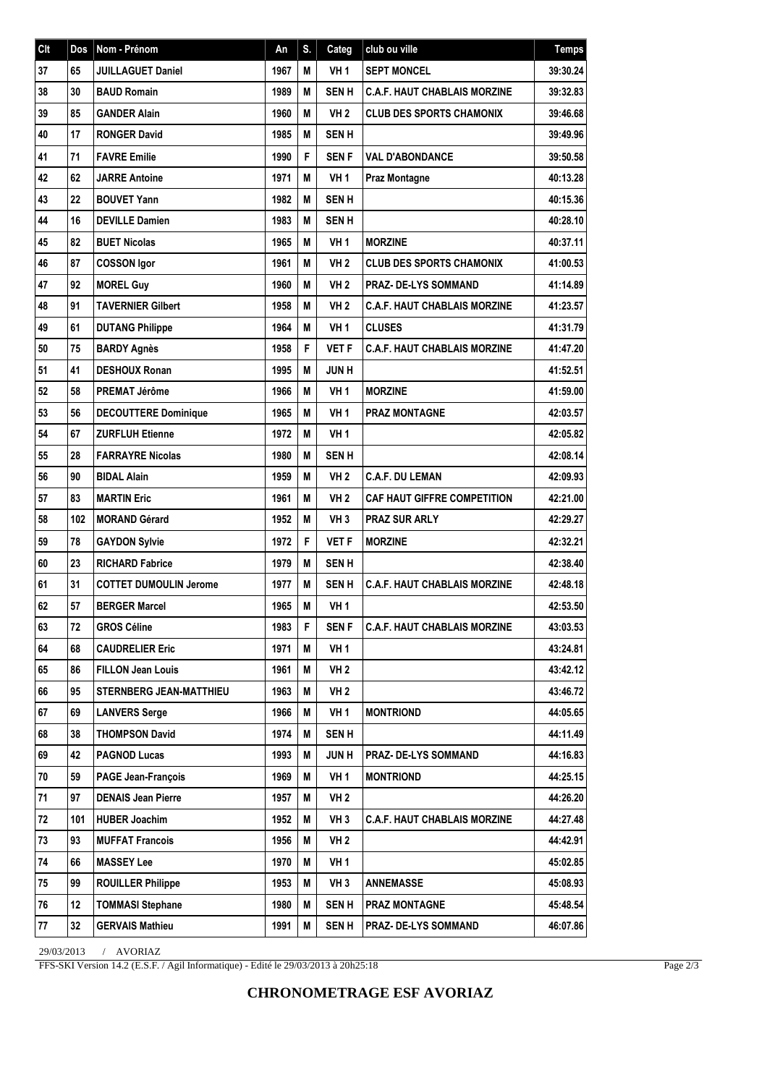| Clt    | Dos | Nom - Prénom                   | An   | S. | Categ           | club ou ville                       | <b>Temps</b> |
|--------|-----|--------------------------------|------|----|-----------------|-------------------------------------|--------------|
| 37     | 65  | <b>JUILLAGUET Daniel</b>       | 1967 | M  | <b>VH1</b>      | <b>SEPT MONCEL</b>                  | 39:30.24     |
| 38     | 30  | <b>BAUD Romain</b>             | 1989 | M  | <b>SENH</b>     | <b>C.A.F. HAUT CHABLAIS MORZINE</b> | 39:32.83     |
| 39     | 85  | <b>GANDER Alain</b>            | 1960 | M  | VH2             | <b>CLUB DES SPORTS CHAMONIX</b>     | 39:46.68     |
| 40     | 17  | <b>RONGER David</b>            | 1985 | M  | <b>SENH</b>     |                                     | 39:49.96     |
| 41     | 71  | <b>FAVRE Emilie</b>            | 1990 | F  | <b>SENF</b>     | <b>VAL D'ABONDANCE</b>              | 39:50.58     |
| 42     | 62  | <b>JARRE Antoine</b>           | 1971 | M  | VH <sub>1</sub> | <b>Praz Montagne</b>                | 40:13.28     |
| 43     | 22  | <b>BOUVET Yann</b>             | 1982 | M  | <b>SENH</b>     |                                     | 40:15.36     |
| 44     | 16  | <b>DEVILLE Damien</b>          | 1983 | М  | <b>SENH</b>     |                                     | 40:28.10     |
| 45     | 82  | <b>BUET Nicolas</b>            | 1965 | M  | <b>VH1</b>      | <b>MORZINE</b>                      | 40:37.11     |
| 46     | 87  | <b>COSSON Igor</b>             | 1961 | M  | <b>VH2</b>      | <b>CLUB DES SPORTS CHAMONIX</b>     | 41:00.53     |
| 47     | 92  | <b>MOREL Guy</b>               | 1960 | M  | VH <sub>2</sub> | PRAZ- DE-LYS SOMMAND                | 41:14.89     |
| 48     | 91  | <b>TAVERNIER Gilbert</b>       | 1958 | M  | VH2             | <b>C.A.F. HAUT CHABLAIS MORZINE</b> | 41:23.57     |
| 49     | 61  | <b>DUTANG Philippe</b>         | 1964 | M  | <b>VH1</b>      | <b>CLUSES</b>                       | 41:31.79     |
| $50\,$ | 75  | <b>BARDY Agnès</b>             | 1958 | F  | <b>VET F</b>    | <b>C.A.F. HAUT CHABLAIS MORZINE</b> | 41:47.20     |
| 51     | 41  | <b>DESHOUX Ronan</b>           | 1995 | M  | <b>JUNH</b>     |                                     | 41:52.51     |
| 52     | 58  | <b>PREMAT Jérôme</b>           | 1966 | M  | <b>VH1</b>      | <b>MORZINE</b>                      | 41:59.00     |
| 53     | 56  | <b>DECOUTTERE Dominique</b>    | 1965 | M  | <b>VH 1</b>     | <b>PRAZ MONTAGNE</b>                | 42:03.57     |
| 54     | 67  | <b>ZURFLUH Etienne</b>         | 1972 | M  | <b>VH1</b>      |                                     | 42:05.82     |
| 55     | 28  | <b>FARRAYRE Nicolas</b>        | 1980 | M  | <b>SENH</b>     |                                     | 42:08.14     |
| 56     | 90  | <b>BIDAL Alain</b>             | 1959 | M  | <b>VH2</b>      | <b>C.A.F. DU LEMAN</b>              | 42:09.93     |
| 57     | 83  | <b>MARTIN Eric</b>             | 1961 | M  | <b>VH 2</b>     | <b>CAF HAUT GIFFRE COMPETITION</b>  | 42:21.00     |
| 58     | 102 | <b>MORAND Gérard</b>           | 1952 | M  | VH <sub>3</sub> | <b>PRAZ SUR ARLY</b>                | 42:29.27     |
| 59     | 78  | <b>GAYDON Sylvie</b>           | 1972 | F  | <b>VET F</b>    | <b>MORZINE</b>                      | 42:32.21     |
| 60     | 23  | <b>RICHARD Fabrice</b>         | 1979 | M  | <b>SENH</b>     |                                     | 42:38.40     |
| 61     | 31  | <b>COTTET DUMOULIN Jerome</b>  | 1977 | M  | <b>SENH</b>     | <b>C.A.F. HAUT CHABLAIS MORZINE</b> | 42:48.18     |
| 62     | 57  | <b>BERGER Marcel</b>           | 1965 | M  | VH <sub>1</sub> |                                     | 42:53.50     |
| 63     | 72  | <b>GROS Céline</b>             | 1983 | F  | <b>SENF</b>     | <b>C.A.F. HAUT CHABLAIS MORZINE</b> | 43:03.53     |
| 64     | 68  | <b>CAUDRELIER Eric</b>         | 1971 | М  | <b>VH1</b>      |                                     | 43:24.81     |
| 65     | 86  | <b>FILLON Jean Louis</b>       | 1961 | M  | <b>VH 2</b>     |                                     | 43:42.12     |
| 66     | 95  | <b>STERNBERG JEAN-MATTHIEU</b> | 1963 | M  | <b>VH 2</b>     |                                     | 43:46.72     |
| 67     | 69  | <b>LANVERS Serge</b>           | 1966 | M  | VH <sub>1</sub> | <b>MONTRIOND</b>                    | 44:05.65     |
| 68     | 38  | <b>THOMPSON David</b>          | 1974 | M  | <b>SENH</b>     |                                     | 44:11.49     |
| 69     | 42  | <b>PAGNOD Lucas</b>            | 1993 | M  | <b>JUNH</b>     | <b>PRAZ- DE-LYS SOMMAND</b>         | 44:16.83     |
| 70     | 59  | <b>PAGE Jean-François</b>      | 1969 | M  | <b>VH1</b>      | <b>MONTRIOND</b>                    | 44:25.15     |
| 71     | 97  | <b>DENAIS Jean Pierre</b>      | 1957 | M  | <b>VH 2</b>     |                                     | 44:26.20     |
| 72     | 101 | <b>HUBER Joachim</b>           | 1952 | M  | VH <sub>3</sub> | <b>C.A.F. HAUT CHABLAIS MORZINE</b> | 44:27.48     |
| 73     | 93  | <b>MUFFAT Francois</b>         | 1956 | M  | <b>VH 2</b>     |                                     | 44:42.91     |
| 74     | 66  | <b>MASSEY Lee</b>              | 1970 | M  | VH <sub>1</sub> |                                     | 45:02.85     |
| 75     | 99  | <b>ROUILLER Philippe</b>       | 1953 | M  | VH <sub>3</sub> | <b>ANNEMASSE</b>                    | 45:08.93     |
| 76     | 12  | <b>TOMMASI Stephane</b>        | 1980 | M  | <b>SEN H</b>    | <b>PRAZ MONTAGNE</b>                | 45:48.54     |
| 77     | 32  | <b>GERVAIS Mathieu</b>         | 1991 | M  | <b>SENH</b>     | PRAZ- DE-LYS SOMMAND                | 46:07.86     |

29/03/2013 / AVORIAZ

FFS-SKI Version 14.2 (E.S.F. / Agil Informatique) - Edité le 29/03/2013 à 20h25:18

Page  $2/3$ 

## **CHRONOMETRAGE ESF AVORIAZ**